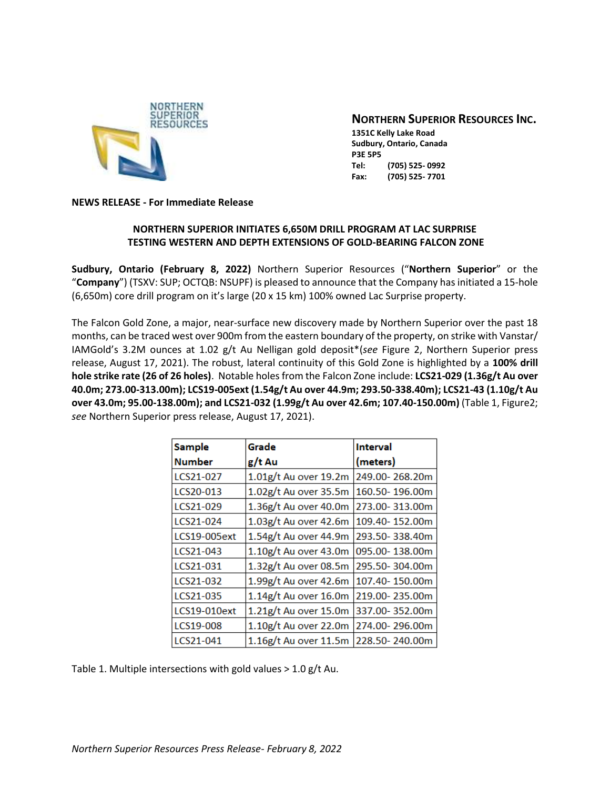

# **NORTHERN SUPERIOR RESOURCES INC.**

**1351C Kelly Lake Road Sudbury, Ontario, Canada P3E 5P5 Tel: (705) 525- 0992 Fax: (705) 525- 7701**

#### **NEWS RELEASE - For Immediate Release**

## **NORTHERN SUPERIOR INITIATES 6,650M DRILL PROGRAM AT LAC SURPRISE TESTING WESTERN AND DEPTH EXTENSIONS OF GOLD-BEARING FALCON ZONE**

**Sudbury, Ontario (February 8, 2022)** Northern Superior Resources ("**Northern Superior**" or the "**Company**") (TSXV: SUP; OCTQB: NSUPF) is pleased to announce that the Company has initiated a 15-hole (6,650m) core drill program on it's large (20 x 15 km) 100% owned Lac Surprise property.

The Falcon Gold Zone, a major, near-surface new discovery made by Northern Superior over the past 18 months, can be traced west over 900m from the eastern boundary of the property, on strike with Vanstar/ IAMGold's 3.2M ounces at 1.02 g/t Au Nelligan gold deposit\*(*see* Figure 2, Northern Superior press release, August 17, 2021). The robust, lateral continuity of this Gold Zone is highlighted by a **100% drill hole strike rate (26 of 26 holes)**. Notable holes from the Falcon Zone include: **LCS21-029 (1.36g/t Au over 40.0m; 273.00-313.00m); LCS19-005ext (1.54g/t Au over 44.9m; 293.50-338.40m); LCS21-43 (1.10g/t Au over 43.0m; 95.00-138.00m); and LCS21-032 (1.99g/t Au over 42.6m; 107.40-150.00m)** (Table 1, Figure2; *see* Northern Superior press release, August 17, 2021).

| <b>Sample</b> | Grade                    | <b>Interval</b> |
|---------------|--------------------------|-----------------|
| <b>Number</b> | g/t Au                   | (meters)        |
| LCS21-027     | 1.01g/t Au over 19.2m    | 249.00-268.20m  |
| LCS20-013     | 1.02g/t Au over 35.5m    | 160.50-196.00m  |
| LCS21-029     | $1.36$ g/t Au over 40.0m | 273.00-313.00m  |
| LCS21-024     | $1.03$ g/t Au over 42.6m | 109.40-152.00m  |
| LCS19-005ext  | $1.54$ g/t Au over 44.9m | 293.50-338.40m  |
| LCS21-043     | $1.10g/t$ Au over 43.0m  | 095.00-138.00m  |
| LCS21-031     | $1.32$ g/t Au over 08.5m | 295.50-304.00m  |
| LCS21-032     | $1.99g/t$ Au over 42.6m  | 107.40-150.00m  |
| LCS21-035     | $1.14$ g/t Au over 16.0m | 219.00-235.00m  |
| LCS19-010ext  | 1.21g/t Au over 15.0m    | 337.00-352.00m  |
| LCS19-008     | 1.10g/t Au over 22.0m    | 274.00-296.00m  |
| LCS21-041     | $1.16g/t$ Au over 11.5m  | 228.50-240.00m  |

Table 1. Multiple intersections with gold values > 1.0 g/t Au.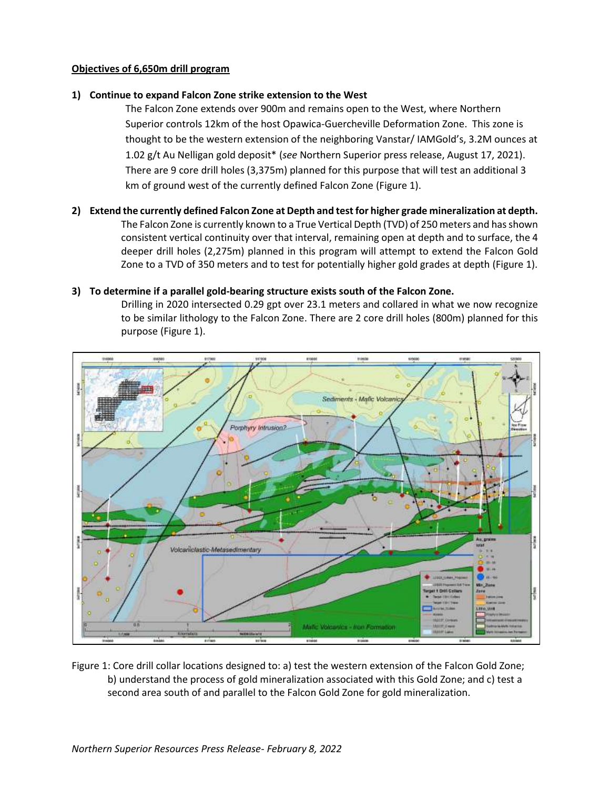## **Objectives of 6,650m drill program**

#### **1) Continue to expand Falcon Zone strike extension to the West**

The Falcon Zone extends over 900m and remains open to the West, where Northern Superior controls 12km of the host Opawica-Guercheville Deformation Zone. This zone is thought to be the western extension of the neighboring Vanstar/ IAMGold's, 3.2M ounces at 1.02 g/t Au Nelligan gold deposit\* (*see* Northern Superior press release, August 17, 2021). There are 9 core drill holes (3,375m) planned for this purpose that will test an additional 3 km of ground west of the currently defined Falcon Zone (Figure 1).

**2) Extend the currently defined Falcon Zone at Depth and test for higher grade mineralization at depth.** The Falcon Zone is currently known to a True Vertical Depth (TVD) of 250 meters and has shown consistent vertical continuity over that interval, remaining open at depth and to surface, the 4 deeper drill holes (2,275m) planned in this program will attempt to extend the Falcon Gold Zone to a TVD of 350 meters and to test for potentially higher gold grades at depth (Figure 1).

#### **3) To determine if a parallel gold-bearing structure exists south of the Falcon Zone.**

Drilling in 2020 intersected 0.29 gpt over 23.1 meters and collared in what we now recognize to be similar lithology to the Falcon Zone. There are 2 core drill holes (800m) planned for this purpose (Figure 1).



Figure 1: Core drill collar locations designed to: a) test the western extension of the Falcon Gold Zone; b) understand the process of gold mineralization associated with this Gold Zone; and c) test a second area south of and parallel to the Falcon Gold Zone for gold mineralization.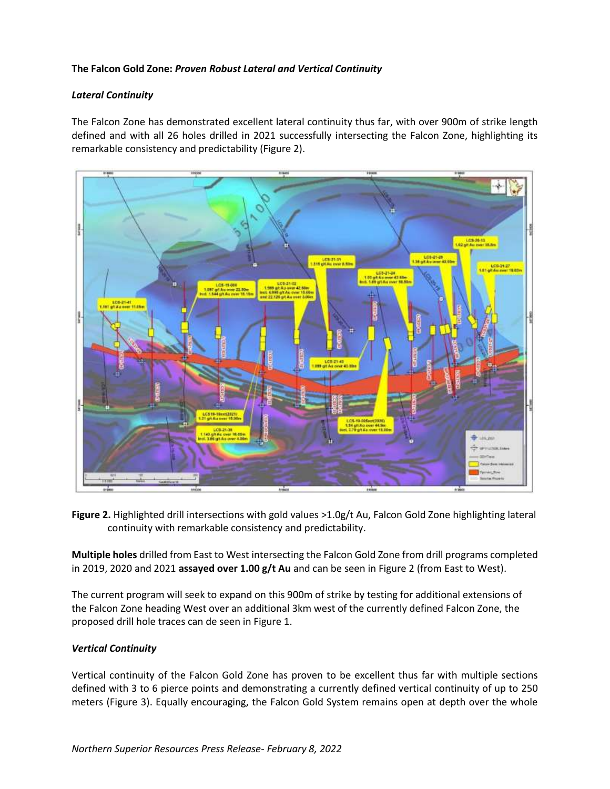## **The Falcon Gold Zone:** *Proven Robust Lateral and Vertical Continuity*

## *Lateral Continuity*

The Falcon Zone has demonstrated excellent lateral continuity thus far, with over 900m of strike length defined and with all 26 holes drilled in 2021 successfully intersecting the Falcon Zone, highlighting its remarkable consistency and predictability (Figure 2).



**Figure 2.** Highlighted drill intersections with gold values >1.0g/t Au, Falcon Gold Zone highlighting lateral continuity with remarkable consistency and predictability.

**Multiple holes** drilled from East to West intersecting the Falcon Gold Zone from drill programs completed in 2019, 2020 and 2021 **assayed over 1.00 g/t Au** and can be seen in Figure 2 (from East to West).

The current program will seek to expand on this 900m of strike by testing for additional extensions of the Falcon Zone heading West over an additional 3km west of the currently defined Falcon Zone, the proposed drill hole traces can de seen in Figure 1.

## *Vertical Continuity*

Vertical continuity of the Falcon Gold Zone has proven to be excellent thus far with multiple sections defined with 3 to 6 pierce points and demonstrating a currently defined vertical continuity of up to 250 meters (Figure 3). Equally encouraging, the Falcon Gold System remains open at depth over the whole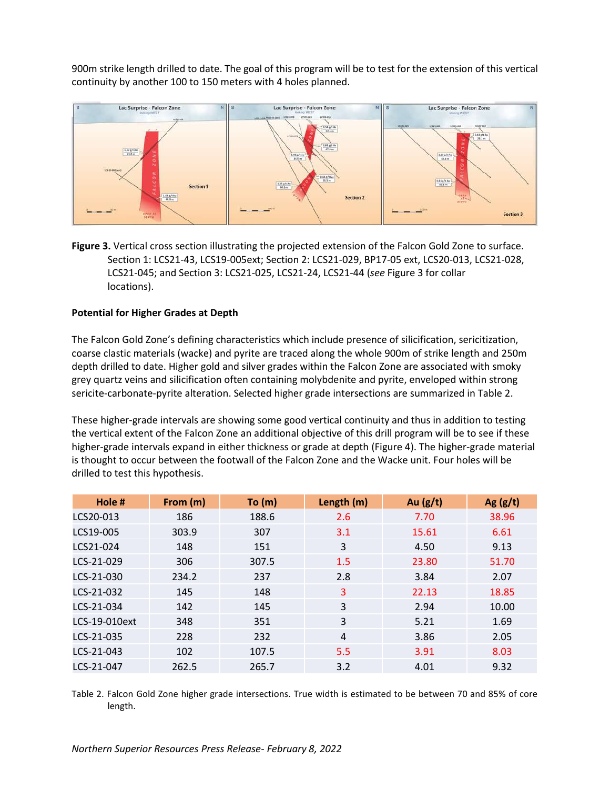900m strike length drilled to date. The goal of this program will be to test for the extension of this vertical continuity by another 100 to 150 meters with 4 holes planned.



**Figure 3.** Vertical cross section illustrating the projected extension of the Falcon Gold Zone to surface. Section 1: LCS21-43, LCS19-005ext; Section 2: LCS21-029, BP17-05 ext, LCS20-013, LCS21-028, LCS21-045; and Section 3: LCS21-025, LCS21-24, LCS21-44 (*see* Figure 3 for collar locations).

## **Potential for Higher Grades at Depth**

The Falcon Gold Zone's defining characteristics which include presence of silicification, sericitization, coarse clastic materials (wacke) and pyrite are traced along the whole 900m of strike length and 250m depth drilled to date. Higher gold and silver grades within the Falcon Zone are associated with smoky grey quartz veins and silicification often containing molybdenite and pyrite, enveloped within strong sericite-carbonate-pyrite alteration. Selected higher grade intersections are summarized in Table 2.

These higher-grade intervals are showing some good vertical continuity and thus in addition to testing the vertical extent of the Falcon Zone an additional objective of this drill program will be to see if these higher-grade intervals expand in either thickness or grade at depth (Figure 4). The higher-grade material is thought to occur between the footwall of the Falcon Zone and the Wacke unit. Four holes will be drilled to test this hypothesis.

| Hole #        | From (m) | To (m) | Length (m) | Au $(g/t)$ | Ag $(g/t)$ |
|---------------|----------|--------|------------|------------|------------|
| LCS20-013     | 186      | 188.6  | 2.6        | 7.70       | 38.96      |
| LCS19-005     | 303.9    | 307    | 3.1        | 15.61      | 6.61       |
| LCS21-024     | 148      | 151    | 3          | 4.50       | 9.13       |
| LCS-21-029    | 306      | 307.5  | 1.5        | 23.80      | 51.70      |
| LCS-21-030    | 234.2    | 237    | 2.8        | 3.84       | 2.07       |
| LCS-21-032    | 145      | 148    | 3          | 22.13      | 18.85      |
| LCS-21-034    | 142      | 145    | 3          | 2.94       | 10.00      |
| LCS-19-010ext | 348      | 351    | 3          | 5.21       | 1.69       |
| LCS-21-035    | 228      | 232    | 4          | 3.86       | 2.05       |
| LCS-21-043    | 102      | 107.5  | 5.5        | 3.91       | 8.03       |
| LCS-21-047    | 262.5    | 265.7  | 3.2        | 4.01       | 9.32       |

Table 2. Falcon Gold Zone higher grade intersections. True width is estimated to be between 70 and 85% of core length.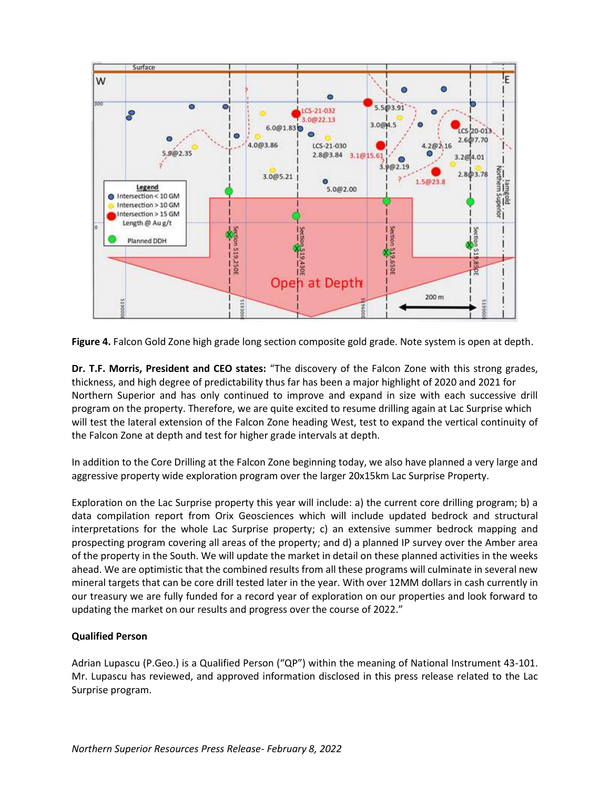

**Figure 4.** Falcon Gold Zone high grade long section composite gold grade. Note system is open at depth.

**Dr. T.F. Morris, President and CEO states:** "The discovery of the Falcon Zone with this strong grades, thickness, and high degree of predictability thus far has been a major highlight of 2020 and 2021 for Northern Superior and has only continued to improve and expand in size with each successive drill program on the property. Therefore, we are quite excited to resume drilling again at Lac Surprise which will test the lateral extension of the Falcon Zone heading West, test to expand the vertical continuity of the Falcon Zone at depth and test for higher grade intervals at depth.

In addition to the Core Drilling at the Falcon Zone beginning today, we also have planned a very large and aggressive property wide exploration program over the larger 20x15km Lac Surprise Property.

Exploration on the Lac Surprise property this year will include: a) the current core drilling program; b) a data compilation report from Orix Geosciences which will include updated bedrock and structural interpretations for the whole Lac Surprise property; c) an extensive summer bedrock mapping and prospecting program covering all areas of the property; and d) a planned IP survey over the Amber area of the property in the South. We will update the market in detail on these planned activities in the weeks ahead. We are optimistic that the combined results from all these programs will culminate in several new mineral targets that can be core drill tested later in the year. With over 12MM dollars in cash currently in our treasury we are fully funded for a record year of exploration on our properties and look forward to updating the market on our results and progress over the course of 2022."

## **Qualified Person**

Adrian Lupascu (P.Geo.) is a Qualified Person ("QP") within the meaning of National Instrument 43-101. Mr. Lupascu has reviewed, and approved information disclosed in this press release related to the Lac Surprise program.